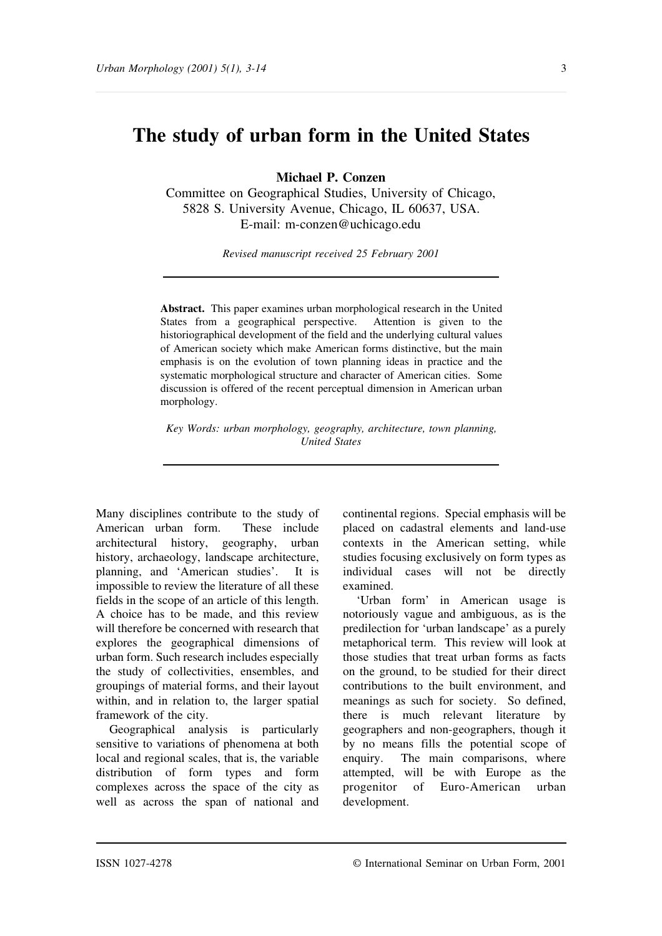# **The study of urban form in the United States**

**Michael P. Conzen**

Committee on Geographical Studies, University of Chicago, 5828 S. University Avenue, Chicago, IL 60637, USA. E-mail: m-conzen@uchicago.edu

*Revised manuscript received 25 February 2001*

**Abstract.** This paper examines urban morphological research in the United States from a geographical perspective. Attention is given to the historiographical development of the field and the underlying cultural values of American society which make American forms distinctive, but the main emphasis is on the evolution of town planning ideas in practice and the systematic morphological structure and character of American cities. Some discussion is offered of the recent perceptual dimension in American urban morphology.

*Key Words: urban morphology, geography, architecture, town planning, United States*

Many disciplines contribute to the study of American urban form. These include architectural history, geography, urban history, archaeology, landscape architecture, planning, and 'American studies'. It is impossible to review the literature of all these fields in the scope of an article of this length. A choice has to be made, and this review will therefore be concerned with research that explores the geographical dimensions of urban form. Such research includes especially the study of collectivities, ensembles, and groupings of material forms, and their layout within, and in relation to, the larger spatial framework of the city.

Geographical analysis is particularly sensitive to variations of phenomena at both local and regional scales, that is, the variable distribution of form types and form complexes across the space of the city as well as across the span of national and

continental regions. Special emphasis will be placed on cadastral elements and land-use contexts in the American setting, while studies focusing exclusively on form types as individual cases will not be directly examined.

'Urban form' in American usage is notoriously vague and ambiguous, as is the predilection for 'urban landscape' as a purely metaphorical term. This review will look at those studies that treat urban forms as facts on the ground, to be studied for their direct contributions to the built environment, and meanings as such for society. So defined, there is much relevant literature by geographers and non-geographers, though it by no means fills the potential scope of enquiry. The main comparisons, where attempted, will be with Europe as the progenitor of Euro-American urban development.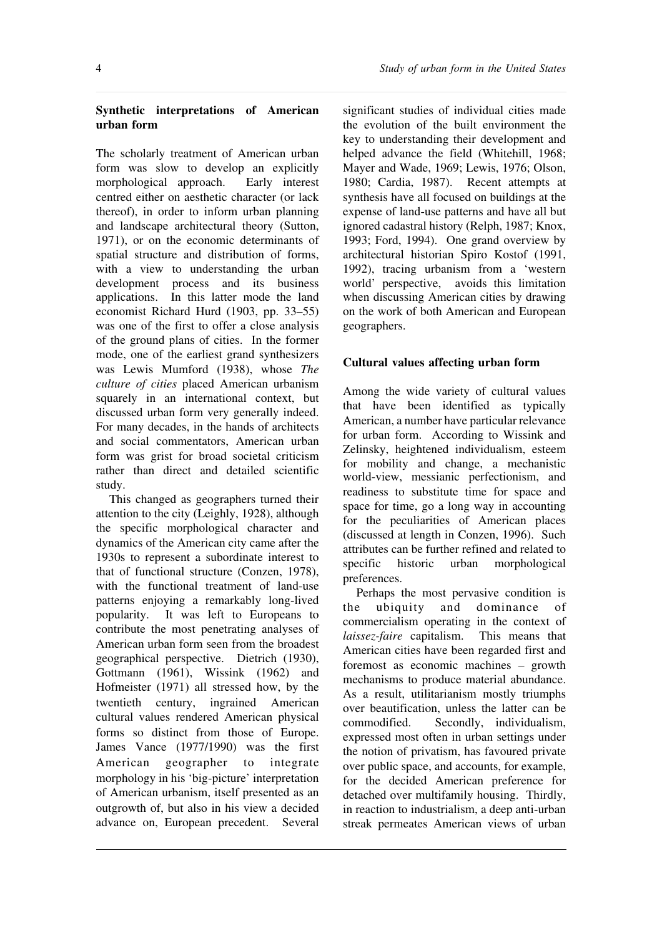## **Synthetic interpretations of American urban form**

The scholarly treatment of American urban form was slow to develop an explicitly morphological approach. Early interest centred either on aesthetic character (or lack thereof), in order to inform urban planning and landscape architectural theory (Sutton, 1971), or on the economic determinants of spatial structure and distribution of forms, with a view to understanding the urban development process and its business applications. In this latter mode the land economist Richard Hurd (1903, pp. 33–55) was one of the first to offer a close analysis of the ground plans of cities. In the former mode, one of the earliest grand synthesizers was Lewis Mumford (1938), whose *The culture of cities* placed American urbanism squarely in an international context, but discussed urban form very generally indeed. For many decades, in the hands of architects and social commentators, American urban form was grist for broad societal criticism rather than direct and detailed scientific study.

This changed as geographers turned their attention to the city (Leighly, 1928), although the specific morphological character and dynamics of the American city came after the 1930s to represent a subordinate interest to that of functional structure (Conzen, 1978), with the functional treatment of land-use patterns enjoying a remarkably long-lived popularity. It was left to Europeans to contribute the most penetrating analyses of American urban form seen from the broadest geographical perspective. Dietrich (1930), Gottmann (1961), Wissink (1962) and Hofmeister (1971) all stressed how, by the twentieth century, ingrained American cultural values rendered American physical forms so distinct from those of Europe. James Vance (1977/1990) was the first American geographer to integrate morphology in his 'big-picture' interpretation of American urbanism, itself presented as an outgrowth of, but also in his view a decided advance on, European precedent. Several

significant studies of individual cities made the evolution of the built environment the key to understanding their development and helped advance the field (Whitehill, 1968; Mayer and Wade, 1969; Lewis, 1976; Olson, 1980; Cardia, 1987). Recent attempts at synthesis have all focused on buildings at the expense of land-use patterns and have all but ignored cadastral history (Relph, 1987; Knox, 1993; Ford, 1994). One grand overview by architectural historian Spiro Kostof (1991, 1992), tracing urbanism from a 'western world' perspective, avoids this limitation when discussing American cities by drawing on the work of both American and European geographers.

### **Cultural values affecting urban form**

Among the wide variety of cultural values that have been identified as typically American, a number have particular relevance for urban form. According to Wissink and Zelinsky, heightened individualism, esteem for mobility and change, a mechanistic world-view, messianic perfectionism, and readiness to substitute time for space and space for time, go a long way in accounting for the peculiarities of American places (discussed at length in Conzen, 1996). Such attributes can be further refined and related to specific historic urban morphological preferences.

Perhaps the most pervasive condition is the ubiquity and dominance of commercialism operating in the context of *laissez-faire* capitalism. This means that American cities have been regarded first and foremost as economic machines – growth mechanisms to produce material abundance. As a result, utilitarianism mostly triumphs over beautification, unless the latter can be commodified. Secondly, individualism, expressed most often in urban settings under the notion of privatism, has favoured private over public space, and accounts, for example, for the decided American preference for detached over multifamily housing. Thirdly, in reaction to industrialism, a deep anti-urban streak permeates American views of urban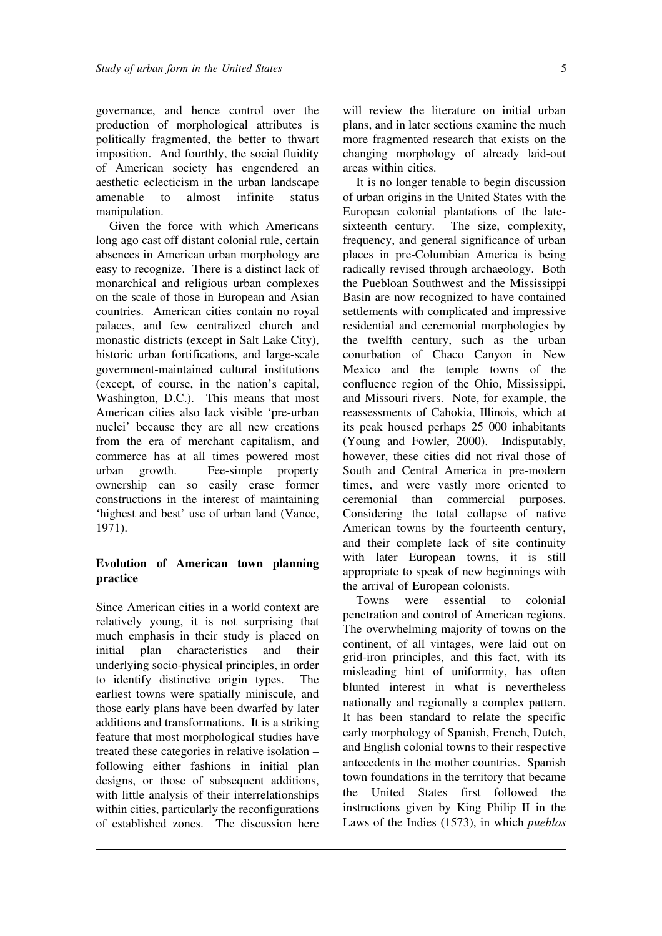governance, and hence control over the production of morphological attributes is politically fragmented, the better to thwart imposition. And fourthly, the social fluidity of American society has engendered an aesthetic eclecticism in the urban landscape amenable to almost infinite status manipulation.

Given the force with which Americans long ago cast off distant colonial rule, certain absences in American urban morphology are easy to recognize. There is a distinct lack of monarchical and religious urban complexes on the scale of those in European and Asian countries. American cities contain no royal palaces, and few centralized church and monastic districts (except in Salt Lake City), historic urban fortifications, and large-scale government-maintained cultural institutions (except, of course, in the nation's capital, Washington, D.C.). This means that most American cities also lack visible 'pre-urban nuclei' because they are all new creations from the era of merchant capitalism, and commerce has at all times powered most urban growth. Fee-simple property ownership can so easily erase former constructions in the interest of maintaining 'highest and best' use of urban land (Vance, 1971).

# **Evolution of American town planning practice**

Since American cities in a world context are relatively young, it is not surprising that much emphasis in their study is placed on initial plan characteristics and their underlying socio-physical principles, in order to identify distinctive origin types. The earliest towns were spatially miniscule, and those early plans have been dwarfed by later additions and transformations. It is a striking feature that most morphological studies have treated these categories in relative isolation – following either fashions in initial plan designs, or those of subsequent additions, with little analysis of their interrelationships within cities, particularly the reconfigurations of established zones. The discussion here

will review the literature on initial urban plans, and in later sections examine the much more fragmented research that exists on the changing morphology of already laid-out areas within cities.

It is no longer tenable to begin discussion of urban origins in the United States with the European colonial plantations of the latesixteenth century. The size, complexity, frequency, and general significance of urban places in pre-Columbian America is being radically revised through archaeology. Both the Puebloan Southwest and the Mississippi Basin are now recognized to have contained settlements with complicated and impressive residential and ceremonial morphologies by the twelfth century, such as the urban conurbation of Chaco Canyon in New Mexico and the temple towns of the confluence region of the Ohio, Mississippi, and Missouri rivers. Note, for example, the reassessments of Cahokia, Illinois, which at its peak housed perhaps 25 000 inhabitants (Young and Fowler, 2000). Indisputably, however, these cities did not rival those of South and Central America in pre-modern times, and were vastly more oriented to ceremonial than commercial purposes. Considering the total collapse of native American towns by the fourteenth century, and their complete lack of site continuity with later European towns, it is still appropriate to speak of new beginnings with the arrival of European colonists.

Towns were essential to colonial penetration and control of American regions. The overwhelming majority of towns on the continent, of all vintages, were laid out on grid-iron principles, and this fact, with its misleading hint of uniformity, has often blunted interest in what is nevertheless nationally and regionally a complex pattern. It has been standard to relate the specific early morphology of Spanish, French, Dutch, and English colonial towns to their respective antecedents in the mother countries. Spanish town foundations in the territory that became the United States first followed the instructions given by King Philip II in the Laws of the Indies (1573), in which *pueblos*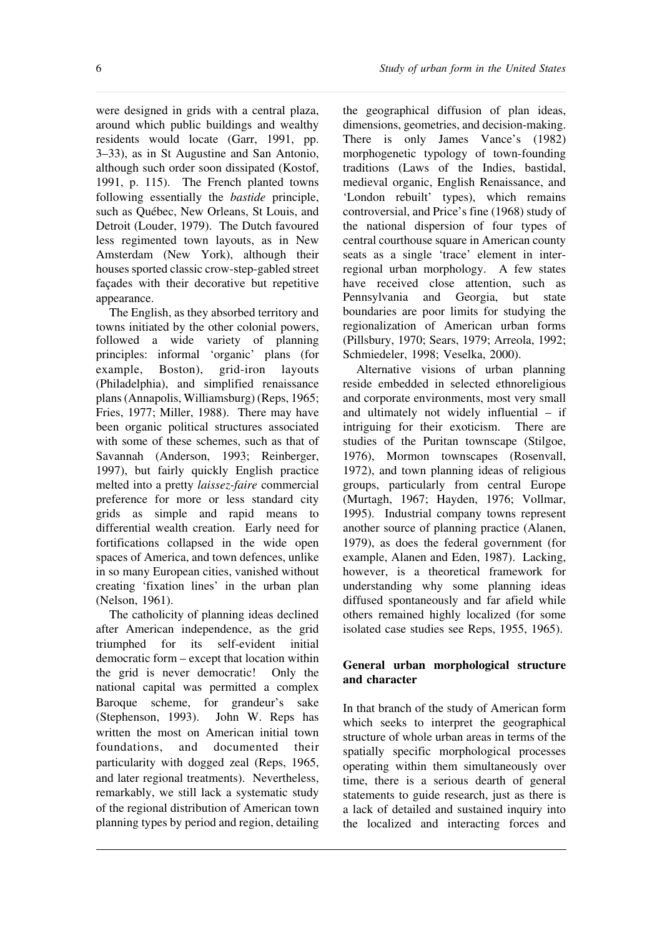were designed in grids with a central plaza, around which public buildings and wealthy residents would locate (Garr, 1991, pp. 3–33), as in St Augustine and San Antonio, although such order soon dissipated (Kostof, 1991, p. 115). The French planted towns following essentially the *bastide* principle, such as Québec, New Orleans, St Louis, and Detroit (Louder, 1979). The Dutch favoured less regimented town layouts, as in New Amsterdam (New York), although their houses sported classic crow-step-gabled street façades with their decorative but repetitive appearance.

The English, as they absorbed territory and towns initiated by the other colonial powers, followed a wide variety of planning principles: informal 'organic' plans (for example, Boston), grid-iron layouts (Philadelphia), and simplified renaissance plans(Annapolis, Williamsburg) (Reps, 1965; Fries, 1977; Miller, 1988). There may have been organic political structures associated with some of these schemes, such as that of Savannah (Anderson, 1993; Reinberger, 1997), but fairly quickly English practice melted into a pretty *laissez-faire* commercial preference for more or less standard city grids as simple and rapid means to differential wealth creation. Early need for fortifications collapsed in the wide open spaces of America, and town defences, unlike in so many European cities, vanished without creating 'fixation lines' in the urban plan (Nelson, 1961).

The catholicity of planning ideas declined after American independence, as the grid triumphed for its self-evident initial democratic form – except that location within the grid is never democratic! Only the national capital was permitted a complex Baroque scheme, for grandeur's sake (Stephenson, 1993). John W. Reps has written the most on American initial town foundations, and documented their particularity with dogged zeal (Reps, 1965, and later regional treatments). Nevertheless, remarkably, we still lack a systematic study of the regional distribution of American town planning types by period and region, detailing

the geographical diffusion of plan ideas, dimensions, geometries, and decision-making. There is only James Vance's (1982) morphogenetic typology of town-founding traditions (Laws of the Indies, bastidal, medieval organic, English Renaissance, and 'London rebuilt' types), which remains controversial, and Price's fine (1968) study of the national dispersion of four types of central courthouse square in American county seats as a single 'trace' element in interregional urban morphology. A few states have received close attention, such as Pennsylvania and Georgia, but state boundaries are poor limits for studying the regionalization of American urban forms (Pillsbury, 1970; Sears, 1979; Arreola, 1992; Schmiedeler, 1998; Veselka, 2000).

Alternative visions of urban planning reside embedded in selected ethnoreligious and corporate environments, most very small and ultimately not widely influential – if intriguing for their exoticism. There are studies of the Puritan townscape (Stilgoe, 1976), Mormon townscapes (Rosenvall, 1972), and town planning ideas of religious groups, particularly from central Europe (Murtagh, 1967; Hayden, 1976; Vollmar, 1995). Industrial company towns represent another source of planning practice (Alanen, 1979), as does the federal government (for example, Alanen and Eden, 1987). Lacking, however, is a theoretical framework for understanding why some planning ideas diffused spontaneously and far afield while others remained highly localized (for some isolated case studies see Reps, 1955, 1965).

# **General urban morphological structure and character**

In that branch of the study of American form which seeks to interpret the geographical structure of whole urban areas in terms of the spatially specific morphological processes operating within them simultaneously over time, there is a serious dearth of general statements to guide research, just as there is a lack of detailed and sustained inquiry into the localized and interacting forces and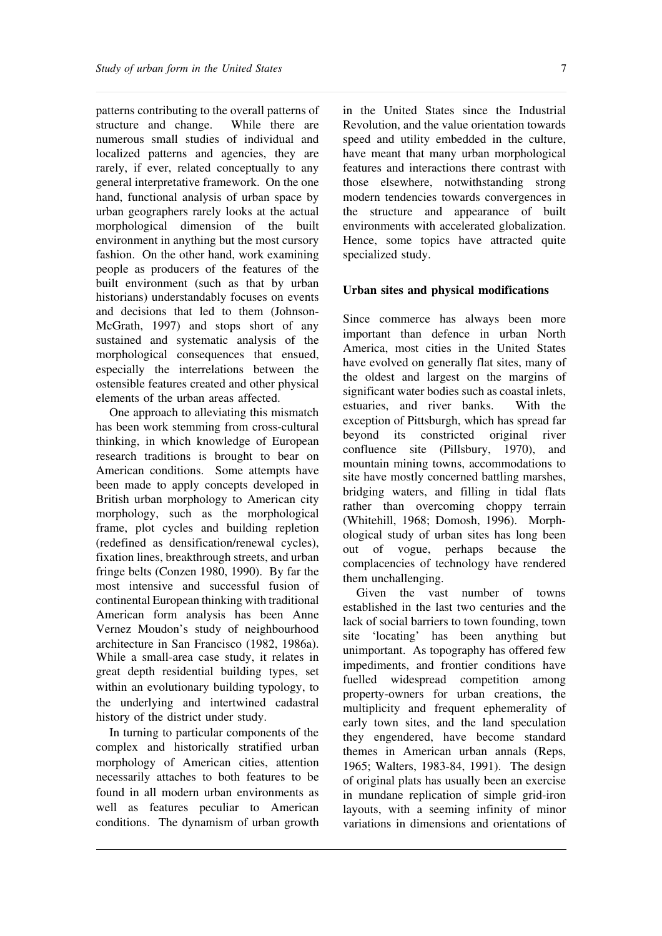patterns contributing to the overall patterns of structure and change. While there are numerous small studies of individual and localized patterns and agencies, they are rarely, if ever, related conceptually to any general interpretative framework. On the one hand, functional analysis of urban space by urban geographers rarely looks at the actual morphological dimension of the built environment in anything but the most cursory fashion. On the other hand, work examining people as producers of the features of the built environment (such as that by urban historians) understandably focuses on events and decisions that led to them (Johnson-McGrath, 1997) and stops short of any sustained and systematic analysis of the morphological consequences that ensued, especially the interrelations between the ostensible features created and other physical elements of the urban areas affected.

One approach to alleviating this mismatch has been work stemming from cross-cultural thinking, in which knowledge of European research traditions is brought to bear on American conditions. Some attempts have been made to apply concepts developed in British urban morphology to American city morphology, such as the morphological frame, plot cycles and building repletion (redefined as densification/renewal cycles), fixation lines, breakthrough streets, and urban fringe belts (Conzen 1980, 1990). By far the most intensive and successful fusion of continental European thinking with traditional American form analysis has been Anne Vernez Moudon's study of neighbourhood architecture in San Francisco (1982, 1986a). While a small-area case study, it relates in great depth residential building types, set within an evolutionary building typology, to the underlying and intertwined cadastral history of the district under study.

In turning to particular components of the complex and historically stratified urban morphology of American cities, attention necessarily attaches to both features to be found in all modern urban environments as well as features peculiar to American conditions. The dynamism of urban growth

in the United States since the Industrial Revolution, and the value orientation towards speed and utility embedded in the culture, have meant that many urban morphological features and interactions there contrast with those elsewhere, notwithstanding strong modern tendencies towards convergences in the structure and appearance of built environments with accelerated globalization. Hence, some topics have attracted quite specialized study.

#### **Urban sites and physical modifications**

Since commerce has always been more important than defence in urban North America, most cities in the United States have evolved on generally flat sites, many of the oldest and largest on the margins of significant water bodies such as coastal inlets, estuaries, and river banks. With the exception of Pittsburgh, which has spread far beyond its constricted original river confluence site (Pillsbury, 1970), and mountain mining towns, accommodations to site have mostly concerned battling marshes, bridging waters, and filling in tidal flats rather than overcoming choppy terrain (Whitehill, 1968; Domosh, 1996). Morphological study of urban sites has long been out of vogue, perhaps because the complacencies of technology have rendered them unchallenging.

Given the vast number of towns established in the last two centuries and the lack of social barriers to town founding, town site 'locating' has been anything but unimportant. As topography has offered few impediments, and frontier conditions have fuelled widespread competition among property-owners for urban creations, the multiplicity and frequent ephemerality of early town sites, and the land speculation they engendered, have become standard themes in American urban annals (Reps, 1965; Walters, 1983-84, 1991). The design of original plats has usually been an exercise in mundane replication of simple grid-iron layouts, with a seeming infinity of minor variations in dimensions and orientations of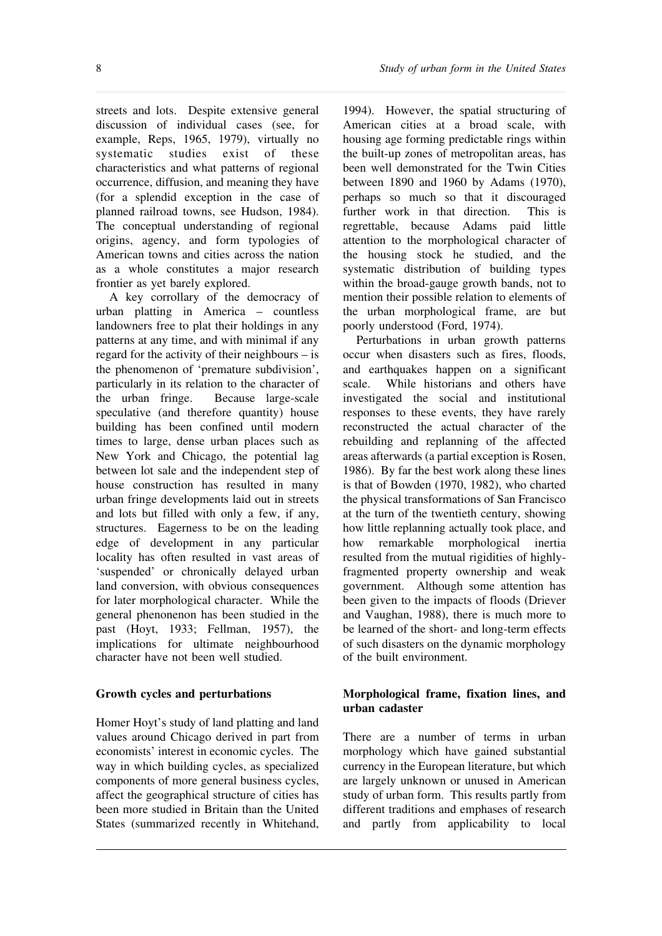streets and lots. Despite extensive general discussion of individual cases (see, for example, Reps, 1965, 1979), virtually no systematic studies exist of these characteristics and what patterns of regional occurrence, diffusion, and meaning they have (for a splendid exception in the case of planned railroad towns, see Hudson, 1984). The conceptual understanding of regional origins, agency, and form typologies of American towns and cities across the nation as a whole constitutes a major research frontier as yet barely explored.

A key corrollary of the democracy of urban platting in America – countless landowners free to plat their holdings in any patterns at any time, and with minimal if any regard for the activity of their neighbours – is the phenomenon of 'premature subdivision', particularly in its relation to the character of the urban fringe. Because large-scale speculative (and therefore quantity) house building has been confined until modern times to large, dense urban places such as New York and Chicago, the potential lag between lot sale and the independent step of house construction has resulted in many urban fringe developments laid out in streets and lots but filled with only a few, if any, structures. Eagerness to be on the leading edge of development in any particular locality has often resulted in vast areas of 'suspended' or chronically delayed urban land conversion, with obvious consequences for later morphological character. While the general phenonenon has been studied in the past (Hoyt, 1933; Fellman, 1957), the implications for ultimate neighbourhood character have not been well studied.

## **Growth cycles and perturbations**

Homer Hoyt's study of land platting and land values around Chicago derived in part from economists' interest in economic cycles. The way in which building cycles, as specialized components of more general business cycles, affect the geographical structure of cities has been more studied in Britain than the United States (summarized recently in Whitehand,

1994). However, the spatial structuring of American cities at a broad scale, with housing age forming predictable rings within the built-up zones of metropolitan areas, has been well demonstrated for the Twin Cities between 1890 and 1960 by Adams (1970), perhaps so much so that it discouraged further work in that direction. This is regrettable, because Adams paid little attention to the morphological character of the housing stock he studied, and the systematic distribution of building types within the broad-gauge growth bands, not to mention their possible relation to elements of the urban morphological frame, are but poorly understood (Ford, 1974).

Perturbations in urban growth patterns occur when disasters such as fires, floods, and earthquakes happen on a significant scale. While historians and others have investigated the social and institutional responses to these events, they have rarely reconstructed the actual character of the rebuilding and replanning of the affected areas afterwards (a partial exception is Rosen, 1986). By far the best work along these lines is that of Bowden (1970, 1982), who charted the physical transformations of San Francisco at the turn of the twentieth century, showing how little replanning actually took place, and how remarkable morphological inertia resulted from the mutual rigidities of highlyfragmented property ownership and weak government. Although some attention has been given to the impacts of floods (Driever and Vaughan, 1988), there is much more to be learned of the short- and long-term effects of such disasters on the dynamic morphology of the built environment.

## **Morphological frame, fixation lines, and urban cadaster**

There are a number of terms in urban morphology which have gained substantial currency in the European literature, but which are largely unknown or unused in American study of urban form. This results partly from different traditions and emphases of research and partly from applicability to local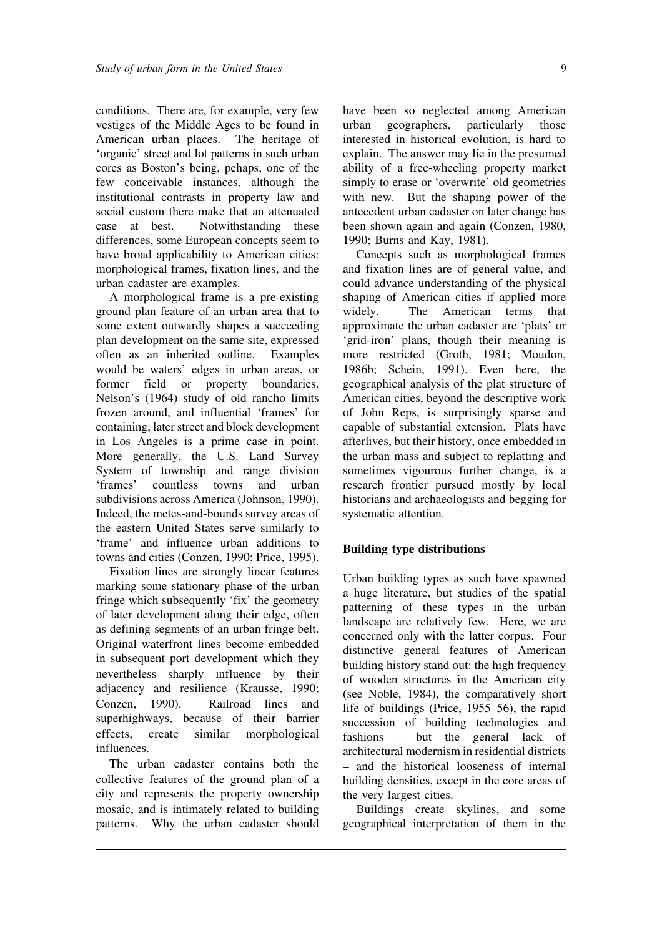conditions. There are, for example, very few vestiges of the Middle Ages to be found in American urban places. The heritage of 'organic' street and lot patterns in such urban cores as Boston's being, pehaps, one of the few conceivable instances, although the institutional contrasts in property law and social custom there make that an attenuated case at best. Notwithstanding these differences, some European concepts seem to have broad applicability to American cities: morphological frames, fixation lines, and the urban cadaster are examples.

A morphological frame is a pre-existing ground plan feature of an urban area that to some extent outwardly shapes a succeeding plan development on the same site, expressed often as an inherited outline. Examples would be waters' edges in urban areas, or former field or property boundaries. Nelson's (1964) study of old rancho limits frozen around, and influential 'frames' for containing, later street and block development in Los Angeles is a prime case in point. More generally, the U.S. Land Survey System of township and range division 'frames' countless towns and urban subdivisions across America (Johnson, 1990). Indeed, the metes-and-bounds survey areas of the eastern United States serve similarly to 'frame' and influence urban additions to towns and cities (Conzen, 1990; Price, 1995).

Fixation lines are strongly linear features marking some stationary phase of the urban fringe which subsequently 'fix' the geometry of later development along their edge, often as defining segments of an urban fringe belt. Original waterfront lines become embedded in subsequent port development which they nevertheless sharply influence by their adjacency and resilience (Krausse, 1990; Conzen, 1990). Railroad lines and superhighways, because of their barrier effects, create similar morphological influences.

The urban cadaster contains both the collective features of the ground plan of a city and represents the property ownership mosaic, and is intimately related to building patterns. Why the urban cadaster should

have been so neglected among American urban geographers, particularly those interested in historical evolution, is hard to explain. The answer may lie in the presumed ability of a free-wheeling property market simply to erase or 'overwrite' old geometries with new. But the shaping power of the antecedent urban cadaster on later change has been shown again and again (Conzen, 1980, 1990; Burns and Kay, 1981).

Concepts such as morphological frames and fixation lines are of general value, and could advance understanding of the physical shaping of American cities if applied more widely. The American terms that approximate the urban cadaster are 'plats' or 'grid-iron' plans, though their meaning is more restricted (Groth, 1981; Moudon, 1986b; Schein, 1991). Even here, the geographical analysis of the plat structure of American cities, beyond the descriptive work of John Reps, is surprisingly sparse and capable of substantial extension. Plats have afterlives, but their history, once embedded in the urban mass and subject to replatting and sometimes vigourous further change, is a research frontier pursued mostly by local historians and archaeologists and begging for systematic attention.

#### **Building type distributions**

Urban building types as such have spawned a huge literature, but studies of the spatial patterning of these types in the urban landscape are relatively few. Here, we are concerned only with the latter corpus. Four distinctive general features of American building history stand out: the high frequency of wooden structures in the American city (see Noble, 1984), the comparatively short life of buildings (Price, 1955–56), the rapid succession of building technologies and fashions – but the general lack of architectural modernism in residential districts – and the historical looseness of internal building densities, except in the core areas of the very largest cities.

Buildings create skylines, and some geographical interpretation of them in the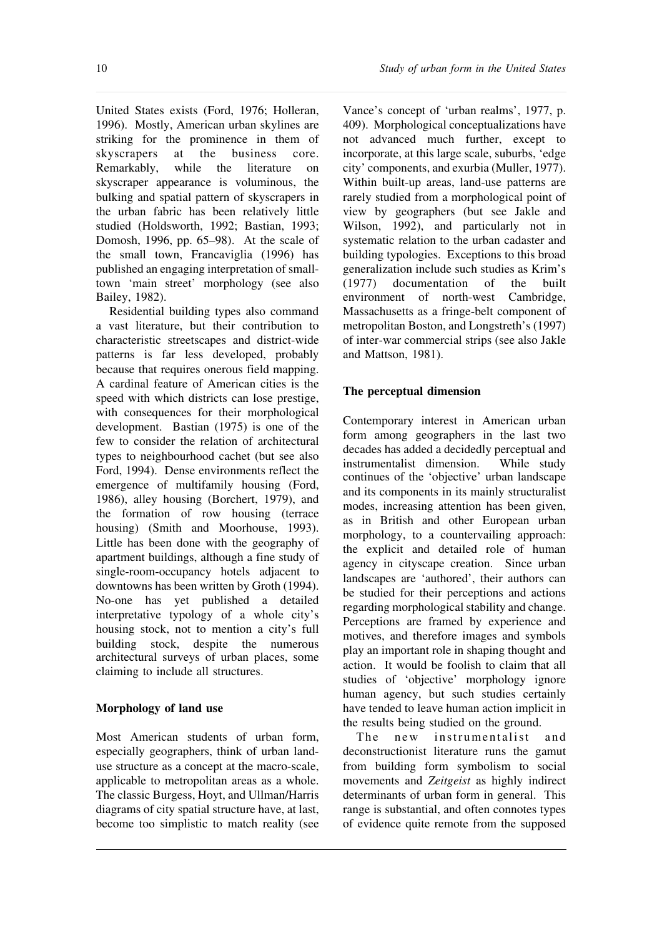United States exists (Ford, 1976; Holleran, 1996). Mostly, American urban skylines are striking for the prominence in them of skyscrapers at the business core. Remarkably, while the literature on skyscraper appearance is voluminous, the bulking and spatial pattern of skyscrapers in the urban fabric has been relatively little studied (Holdsworth, 1992; Bastian, 1993; Domosh, 1996, pp. 65–98). At the scale of the small town, Francaviglia (1996) has published an engaging interpretation of smalltown 'main street' morphology (see also Bailey, 1982).

Residential building types also command a vast literature, but their contribution to characteristic streetscapes and district-wide patterns is far less developed, probably because that requires onerous field mapping. A cardinal feature of American cities is the speed with which districts can lose prestige, with consequences for their morphological development. Bastian (1975) is one of the few to consider the relation of architectural types to neighbourhood cachet (but see also Ford, 1994). Dense environments reflect the emergence of multifamily housing (Ford, 1986), alley housing (Borchert, 1979), and the formation of row housing (terrace housing) (Smith and Moorhouse, 1993). Little has been done with the geography of apartment buildings, although a fine study of single-room-occupancy hotels adjacent to downtowns has been written by Groth (1994). No-one has yet published a detailed interpretative typology of a whole city's housing stock, not to mention a city's full building stock, despite the numerous architectural surveys of urban places, some claiming to include all structures.

# **Morphology of land use**

Most American students of urban form, especially geographers, think of urban landuse structure as a concept at the macro-scale, applicable to metropolitan areas as a whole. The classic Burgess, Hoyt, and Ullman/Harris diagrams of city spatial structure have, at last, become too simplistic to match reality (see

Vance's concept of 'urban realms', 1977, p. 409). Morphological conceptualizations have not advanced much further, except to incorporate, at this large scale, suburbs, 'edge city' components, and exurbia (Muller, 1977). Within built-up areas, land-use patterns are rarely studied from a morphological point of view by geographers (but see Jakle and Wilson, 1992), and particularly not in systematic relation to the urban cadaster and building typologies. Exceptions to this broad generalization include such studies as Krim's (1977) documentation of the built environment of north-west Cambridge, Massachusetts as a fringe-belt component of metropolitan Boston, and Longstreth's (1997) of inter-war commercial strips (see also Jakle and Mattson, 1981).

# **The perceptual dimension**

Contemporary interest in American urban form among geographers in the last two decades has added a decidedly perceptual and instrumentalist dimension. While study continues of the 'objective' urban landscape and its components in its mainly structuralist modes, increasing attention has been given, as in British and other European urban morphology, to a countervailing approach: the explicit and detailed role of human agency in cityscape creation. Since urban landscapes are 'authored', their authors can be studied for their perceptions and actions regarding morphological stability and change. Perceptions are framed by experience and motives, and therefore images and symbols play an important role in shaping thought and action. It would be foolish to claim that all studies of 'objective' morphology ignore human agency, but such studies certainly have tended to leave human action implicit in the results being studied on the ground.

The new instrumentalist and deconstructionist literature runs the gamut from building form symbolism to social movements and *Zeitgeist* as highly indirect determinants of urban form in general. This range is substantial, and often connotes types of evidence quite remote from the supposed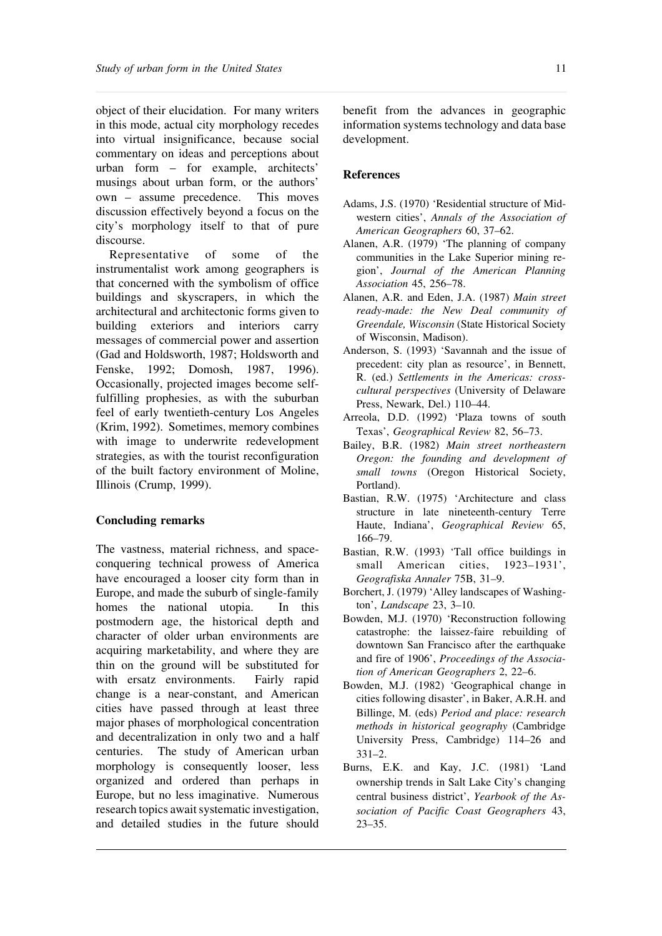object of their elucidation. For many writers in this mode, actual city morphology recedes into virtual insignificance, because social commentary on ideas and perceptions about urban form – for example, architects' musings about urban form, or the authors' own – assume precedence. This moves discussion effectively beyond a focus on the city's morphology itself to that of pure discourse.

Representative of some of the instrumentalist work among geographers is that concerned with the symbolism of office buildings and skyscrapers, in which the architectural and architectonic forms given to building exteriors and interiors carry messages of commercial power and assertion (Gad and Holdsworth, 1987; Holdsworth and Fenske, 1992; Domosh, 1987, 1996). Occasionally, projected images become selffulfilling prophesies, as with the suburban feel of early twentieth-century Los Angeles (Krim, 1992). Sometimes, memory combines with image to underwrite redevelopment strategies, as with the tourist reconfiguration of the built factory environment of Moline, Illinois (Crump, 1999).

#### **Concluding remarks**

The vastness, material richness, and spaceconquering technical prowess of America have encouraged a looser city form than in Europe, and made the suburb of single-family homes the national utopia. In this postmodern age, the historical depth and character of older urban environments are acquiring marketability, and where they are thin on the ground will be substituted for with ersatz environments. Fairly rapid change is a near-constant, and American cities have passed through at least three major phases of morphological concentration and decentralization in only two and a half centuries. The study of American urban morphology is consequently looser, less organized and ordered than perhaps in Europe, but no less imaginative. Numerous research topics await systematic investigation, and detailed studies in the future should

benefit from the advances in geographic information systems technology and data base development.

#### **References**

- Adams, J.S. (1970) 'Residential structure of Midwestern cities', *Annals of the Association of American Geographers* 60, 37–62.
- Alanen, A.R. (1979) 'The planning of company communities in the Lake Superior mining region', *Journal of the American Planning Association* 45, 256–78.
- Alanen, A.R. and Eden, J.A. (1987) *Main street ready-made: the New Deal community of Greendale, Wisconsin* (State Historical Society of Wisconsin, Madison).
- Anderson, S. (1993) 'Savannah and the issue of precedent: city plan as resource', in Bennett, R. (ed.) *Settlements in the Americas: crosscultural perspectives* (University of Delaware Press, Newark, Del.) 110–44.
- Arreola, D.D. (1992) 'Plaza towns of south Texas', *Geographical Review* 82, 56–73.
- Bailey, B.R. (1982) *Main street northeastern Oregon: the founding and development of small towns* (Oregon Historical Society, Portland).
- Bastian, R.W. (1975) 'Architecture and class structure in late nineteenth-century Terre Haute, Indiana', *Geographical Review* 65, 166–79.
- Bastian, R.W. (1993) 'Tall office buildings in small American cities, 1923–1931', *Geografiska Annaler* 75B, 31–9.
- Borchert, J. (1979) 'Alley landscapes of Washington', *Landscape* 23, 3–10.
- Bowden, M.J. (1970) 'Reconstruction following catastrophe: the laissez-faire rebuilding of downtown San Francisco after the earthquake and fire of 1906', *Proceedings of the Association of American Geographers* 2, 22–6.
- Bowden, M.J. (1982) 'Geographical change in cities following disaster', in Baker, A.R.H. and Billinge, M. (eds) *Period and place: research methods in historical geography* (Cambridge University Press, Cambridge) 114–26 and 331–2.
- Burns, E.K. and Kay, J.C. (1981) 'Land ownership trends in Salt Lake City's changing central business district', *Yearbook of the Association of Pacific Coast Geographers* 43, 23–35.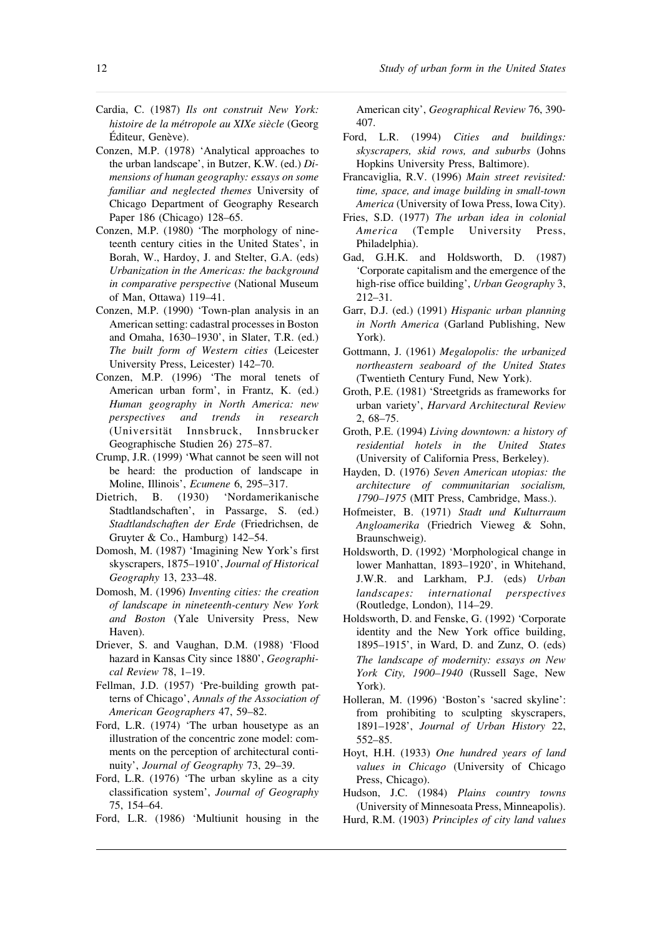- Cardia, C. (1987) *Ils ont construit New York: histoire de la métropole au XIXe siècle* (Georg Éditeur, Genève).
- Conzen, M.P. (1978) 'Analytical approaches to the urban landscape', in Butzer, K.W. (ed.) *Dimensions of human geography: essays on some familiar and neglected themes* University of Chicago Department of Geography Research Paper 186 (Chicago) 128–65.
- Conzen, M.P. (1980) 'The morphology of nineteenth century cities in the United States', in Borah, W., Hardoy, J. and Stelter, G.A. (eds) *Urbanization in the Americas: the background in comparative perspective* (National Museum of Man, Ottawa) 119–41.
- Conzen, M.P. (1990) 'Town-plan analysis in an American setting: cadastral processesin Boston and Omaha, 1630–1930', in Slater, T.R. (ed.) *The built form of Western cities* (Leicester University Press, Leicester) 142–70.
- Conzen, M.P. (1996) 'The moral tenets of American urban form', in Frantz, K. (ed.) *Human geography in North America: new perspectives and trends in research* (Universität Innsbruck, Innsbrucker Geographische Studien 26) 275–87.
- Crump, J.R. (1999) 'What cannot be seen will not be heard: the production of landscape in Moline, Illinois', *Ecumene* 6, 295–317.
- Dietrich, B. (1930) 'Nordamerikanische Stadtlandschaften', in Passarge, S. (ed.) *Stadtlandschaften der Erde* (Friedrichsen, de Gruyter & Co., Hamburg) 142–54.
- Domosh, M. (1987) 'Imagining New York's first skyscrapers, 1875–1910', *Journal of Historical Geography* 13, 233–48.
- Domosh, M. (1996) *Inventing cities: the creation of landscape in nineteenth-century New York and Boston* (Yale University Press, New Haven).
- Driever, S. and Vaughan, D.M. (1988) 'Flood hazard in Kansas City since 1880', *Geographical Review* 78, 1–19.
- Fellman, J.D. (1957) 'Pre-building growth patterns of Chicago', *Annals of the Association of American Geographers* 47, 59–82.
- Ford, L.R. (1974) 'The urban housetype as an illustration of the concentric zone model: comments on the perception of architectural continuity', *Journal of Geography* 73, 29–39.
- Ford, L.R. (1976) 'The urban skyline as a city classification system', *Journal of Geography* 75, 154–64.
- Ford, L.R. (1986) 'Multiunit housing in the

American city', *Geographical Review* 76, 390- 407.

- Ford, L.R. (1994) *Cities and buildings: skyscrapers, skid rows, and suburbs* (Johns Hopkins University Press, Baltimore).
- Francaviglia, R.V. (1996) *Main street revisited: time, space, and image building in small-town America* (University of Iowa Press, Iowa City).
- Fries, S.D. (1977) *The urban idea in colonial America* (Temple University Press, Philadelphia).
- Gad, G.H.K. and Holdsworth, D. (1987) 'Corporate capitalism and the emergence of the high-rise office building', *Urban Geography* 3, 212–31.
- Garr, D.J. (ed.) (1991) *Hispanic urban planning in North America* (Garland Publishing, New York).
- Gottmann, J. (1961) *Megalopolis: the urbanized northeastern seaboard of the United States* (Twentieth Century Fund, New York).
- Groth, P.E. (1981) 'Streetgrids as frameworks for urban variety', *Harvard Architectural Review* 2, 68–75.
- Groth, P.E. (1994) *Living downtown: a history of residential hotels in the United States* (University of California Press, Berkeley).
- Hayden, D. (1976) *Seven American utopias: the architecture of communitarian socialism, 1790–1975* (MIT Press, Cambridge, Mass.).
- Hofmeister, B. (1971) *Stadt und Kulturraum Angloamerika* (Friedrich Vieweg & Sohn, Braunschweig).
- Holdsworth, D. (1992) 'Morphological change in lower Manhattan, 1893–1920', in Whitehand, J.W.R. and Larkham, P.J. (eds) *Urban landscapes: international perspectives* (Routledge, London), 114–29.
- Holdsworth, D. and Fenske, G. (1992) 'Corporate identity and the New York office building, 1895–1915', in Ward, D. and Zunz, O. (eds) *The landscape of modernity: essays on New York City, 1900–1940* (Russell Sage, New York).
- Holleran, M. (1996) 'Boston's 'sacred skyline': from prohibiting to sculpting skyscrapers, 1891–1928', *Journal of Urban History* 22, 552–85.
- Hoyt, H.H. (1933) *One hundred years of land values in Chicago* (University of Chicago Press, Chicago).
- Hudson, J.C. (1984) *Plains country towns* (University of Minnesoata Press, Minneapolis).
- Hurd, R.M. (1903) *Principles of city land values*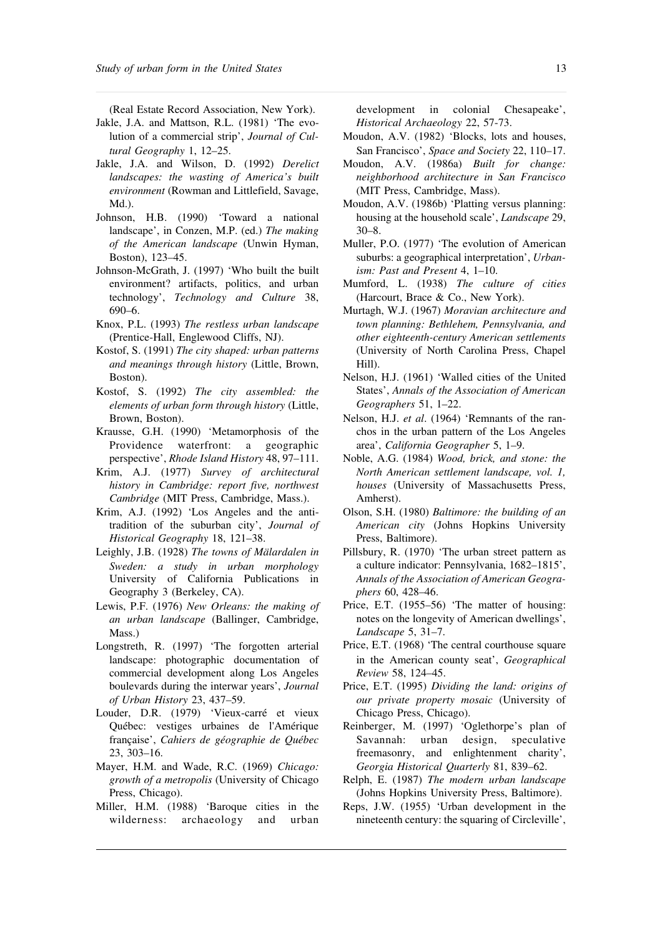(Real Estate Record Association, New York).

- Jakle, J.A. and Mattson, R.L. (1981) 'The evolution of a commercial strip', *Journal of Cultural Geography* 1, 12–25.
- Jakle, J.A. and Wilson, D. (1992) *Derelict landscapes: the wasting of America's built environment* (Rowman and Littlefield, Savage, Md.).
- Johnson, H.B. (1990) 'Toward a national landscape', in Conzen, M.P. (ed.) *The making of the American landscape* (Unwin Hyman, Boston), 123–45.
- Johnson-McGrath, J. (1997) 'Who built the built environment? artifacts, politics, and urban technology', *Technology and Culture* 38, 690–6.
- Knox, P.L. (1993) *The restless urban landscape* (Prentice-Hall, Englewood Cliffs, NJ).
- Kostof, S. (1991) *The city shaped: urban patterns and meanings through history* (Little, Brown, Boston).
- Kostof, S. (1992) *The city assembled: the elements of urban form through history* (Little, Brown, Boston).
- Krausse, G.H. (1990) 'Metamorphosis of the Providence waterfront: a geographic perspective', *Rhode Island History* 48, 97–111.
- Krim, A.J. (1977) *Survey of architectural history in Cambridge: report five, northwest Cambridge* (MIT Press, Cambridge, Mass.).
- Krim, A.J. (1992) 'Los Angeles and the antitradition of the suburban city', *Journal of Historical Geography* 18, 121–38.
- Leighly, J.B. (1928) *The towns of Mälardalen in Sweden: a study in urban morphology* University of California Publications in Geography 3 (Berkeley, CA).
- Lewis, P.F. (1976) *New Orleans: the making of an urban landscape* (Ballinger, Cambridge, Mass.)
- Longstreth, R. (1997) 'The forgotten arterial landscape: photographic documentation of commercial development along Los Angeles boulevards during the interwar years', *Journal of Urban History* 23, 437–59.
- Louder, D.R. (1979) 'Vieux-carré et vieux Québec: vestiges urbaines de l'Amérique française', *Cahiers de géographie de Québec* 23, 303–16.
- Mayer, H.M. and Wade, R.C. (1969) *Chicago: growth of a metropolis* (University of Chicago Press, Chicago).
- Miller, H.M. (1988) 'Baroque cities in the wilderness: archaeology and urban

development in colonial Chesapeake', *Historical Archaeology* 22, 57-73.

- Moudon, A.V. (1982) 'Blocks, lots and houses, San Francisco', *Space and Society* 22, 110–17.
- Moudon, A.V. (1986a) *Built for change: neighborhood architecture in San Francisco* (MIT Press, Cambridge, Mass).
- Moudon, A.V. (1986b) 'Platting versus planning: housing at the household scale', *Landscape* 29, 30–8.
- Muller, P.O. (1977) 'The evolution of American suburbs: a geographical interpretation', *Urbanism: Past and Present* 4, 1–10.
- Mumford, L. (1938) *The culture of cities* (Harcourt, Brace & Co., New York).
- Murtagh, W.J. (1967) *Moravian architecture and town planning: Bethlehem, Pennsylvania, and other eighteenth-century American settlements* (University of North Carolina Press, Chapel Hill).
- Nelson, H.J. (1961) 'Walled cities of the United States', *Annals of the Association of American Geographers* 51, 1–22.
- Nelson, H.J. *et al*. (1964) 'Remnants of the ranchos in the urban pattern of the Los Angeles area', *California Geographer* 5, 1–9.
- Noble, A.G. (1984) *Wood, brick, and stone: the North American settlement landscape, vol. 1, houses* (University of Massachusetts Press, Amherst).
- Olson, S.H. (1980) *Baltimore: the building of an American city* (Johns Hopkins University Press, Baltimore).
- Pillsbury, R. (1970) 'The urban street pattern as a culture indicator: Pennsylvania, 1682–1815', *Annals of the Association of American Geographers* 60, 428–46.
- Price, E.T. (1955–56) 'The matter of housing: notes on the longevity of American dwellings', *Landscape* 5, 31–7.
- Price, E.T. (1968) 'The central courthouse square in the American county seat', *Geographical Review* 58, 124–45.
- Price, E.T. (1995) *Dividing the land: origins of our private property mosaic* (University of Chicago Press, Chicago).
- Reinberger, M. (1997) 'Oglethorpe's plan of Savannah: urban design, speculative freemasonry, and enlightenment charity', *Georgia Historical Quarterly* 81, 839–62.
- Relph, E. (1987) *The modern urban landscape* (Johns Hopkins University Press, Baltimore).
- Reps, J.W. (1955) 'Urban development in the nineteenth century: the squaring of Circleville',